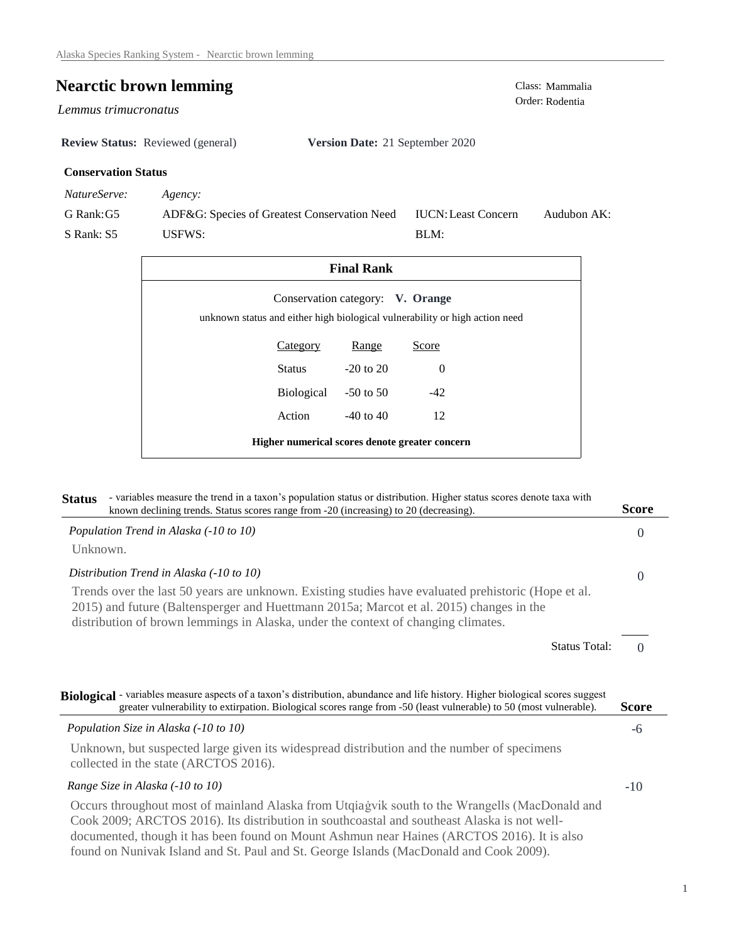## **Nearctic brown lemming** Class: Mammalia

*Lemmus trimucronatus* 

**Review Status:** Reviewed (general) **Version Date:** 21 September 2020

## **Conservation Status**

*NatureServe: Agency:*

G Rank:G5 S Rank: S5 ADF&G: Species of Greatest Conservation Need USFWS: Audubon AK: BLM: IUCN:Least Concern

| <b>Final Rank</b>                                                                                               |                 |               |          |  |  |
|-----------------------------------------------------------------------------------------------------------------|-----------------|---------------|----------|--|--|
| Conservation category: V. Orange<br>unknown status and either high biological vulnerability or high action need |                 |               |          |  |  |
|                                                                                                                 | <b>Category</b> | Range         | Score    |  |  |
|                                                                                                                 | Status          | $-20$ to $20$ | $\Omega$ |  |  |
|                                                                                                                 | Biological      | $-50$ to 50   | $-42$    |  |  |
|                                                                                                                 | Action          | $-40$ to $40$ | 12       |  |  |
| Higher numerical scores denote greater concern                                                                  |                 |               |          |  |  |

| - variables measure the trend in a taxon's population status or distribution. Higher status scores denote taxa with<br><b>Status</b><br>known declining trends. Status scores range from -20 (increasing) to 20 (decreasing).                                                                                                                                                         | <b>Score</b>                     |
|---------------------------------------------------------------------------------------------------------------------------------------------------------------------------------------------------------------------------------------------------------------------------------------------------------------------------------------------------------------------------------------|----------------------------------|
| Population Trend in Alaska (-10 to 10)                                                                                                                                                                                                                                                                                                                                                | $\Omega$                         |
| Unknown.                                                                                                                                                                                                                                                                                                                                                                              |                                  |
| Distribution Trend in Alaska (-10 to 10)                                                                                                                                                                                                                                                                                                                                              | $\Omega$                         |
| Trends over the last 50 years are unknown. Existing studies have evaluated prehistoric (Hope et al.<br>2015) and future (Baltensperger and Huettmann 2015a; Marcot et al. 2015) changes in the<br>distribution of brown lemmings in Alaska, under the context of changing climates.                                                                                                   |                                  |
|                                                                                                                                                                                                                                                                                                                                                                                       | <b>Status Total:</b><br>$\Omega$ |
| Biological - variables measure aspects of a taxon's distribution, abundance and life history. Higher biological scores suggest<br>greater vulnerability to extirpation. Biological scores range from -50 (least vulnerable) to 50 (most vulnerable).                                                                                                                                  | Score                            |
| Population Size in Alaska (-10 to 10)                                                                                                                                                                                                                                                                                                                                                 | -6                               |
| Unknown, but suspected large given its widespread distribution and the number of specimens<br>collected in the state (ARCTOS 2016).                                                                                                                                                                                                                                                   |                                  |
| Range Size in Alaska (-10 to 10)                                                                                                                                                                                                                                                                                                                                                      | $-10$                            |
| Occurs throughout most of mainland Alaska from Utqiagvik south to the Wrangells (MacDonald and<br>Cook 2009; ARCTOS 2016). Its distribution in southcoastal and southeast Alaska is not well-<br>documented, though it has been found on Mount Ashmun near Haines (ARCTOS 2016). It is also<br>found on Nunivak Island and St. Paul and St. George Islands (MacDonald and Cook 2009). |                                  |

Order: Rodentia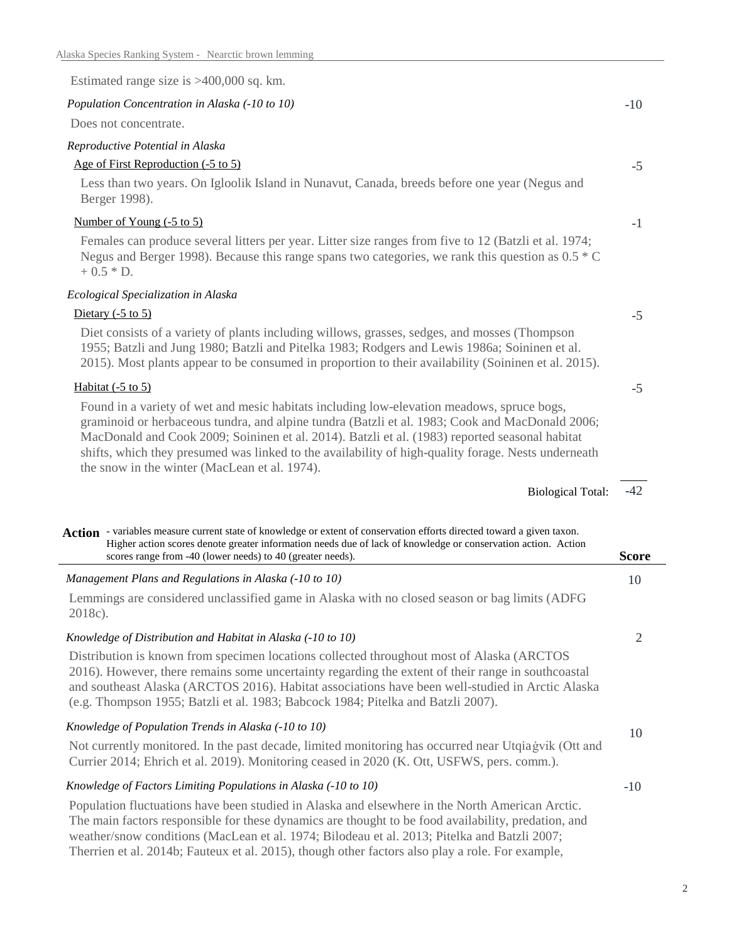| Estimated range size is $>400,000$ sq. km.                                                                                                                                                                                                                                                                                                                                                                                                              |                |
|---------------------------------------------------------------------------------------------------------------------------------------------------------------------------------------------------------------------------------------------------------------------------------------------------------------------------------------------------------------------------------------------------------------------------------------------------------|----------------|
| Population Concentration in Alaska (-10 to 10)                                                                                                                                                                                                                                                                                                                                                                                                          | $-10$          |
| Does not concentrate.                                                                                                                                                                                                                                                                                                                                                                                                                                   |                |
| Reproductive Potential in Alaska                                                                                                                                                                                                                                                                                                                                                                                                                        |                |
| Age of First Reproduction (-5 to 5)                                                                                                                                                                                                                                                                                                                                                                                                                     | $-5$           |
| Less than two years. On Igloolik Island in Nunavut, Canada, breeds before one year (Negus and<br>Berger 1998).                                                                                                                                                                                                                                                                                                                                          |                |
| Number of Young (-5 to 5)                                                                                                                                                                                                                                                                                                                                                                                                                               | $-1$           |
| Females can produce several litters per year. Litter size ranges from five to 12 (Batzli et al. 1974;<br>Negus and Berger 1998). Because this range spans two categories, we rank this question as $0.5 * C$<br>$+0.5 * D.$                                                                                                                                                                                                                             |                |
| Ecological Specialization in Alaska                                                                                                                                                                                                                                                                                                                                                                                                                     |                |
| Dietary $(-5 \text{ to } 5)$                                                                                                                                                                                                                                                                                                                                                                                                                            | $-5$           |
| Diet consists of a variety of plants including willows, grasses, sedges, and mosses (Thompson<br>1955; Batzli and Jung 1980; Batzli and Pitelka 1983; Rodgers and Lewis 1986a; Soininen et al.<br>2015). Most plants appear to be consumed in proportion to their availability (Soininen et al. 2015).                                                                                                                                                  |                |
| Habitat $(-5 \text{ to } 5)$                                                                                                                                                                                                                                                                                                                                                                                                                            | $-5$           |
| Found in a variety of wet and mesic habitats including low-elevation meadows, spruce bogs,<br>graminoid or herbaceous tundra, and alpine tundra (Batzli et al. 1983; Cook and MacDonald 2006;<br>MacDonald and Cook 2009; Soininen et al. 2014). Batzli et al. (1983) reported seasonal habitat<br>shifts, which they presumed was linked to the availability of high-quality forage. Nests underneath<br>the snow in the winter (MacLean et al. 1974). |                |
| <b>Biological Total:</b>                                                                                                                                                                                                                                                                                                                                                                                                                                | $-42$          |
| Action - variables measure current state of knowledge or extent of conservation efforts directed toward a given taxon.<br>Higher action scores denote greater information needs due of lack of knowledge or conservation action. Action                                                                                                                                                                                                                 |                |
| scores range from -40 (lower needs) to 40 (greater needs).                                                                                                                                                                                                                                                                                                                                                                                              | <b>Score</b>   |
|                                                                                                                                                                                                                                                                                                                                                                                                                                                         |                |
| Management Plans and Regulations in Alaska (-10 to 10)<br>Lemmings are considered unclassified game in Alaska with no closed season or bag limits (ADFG<br>2018c).                                                                                                                                                                                                                                                                                      | 10             |
| Knowledge of Distribution and Habitat in Alaska (-10 to 10)                                                                                                                                                                                                                                                                                                                                                                                             | $\overline{2}$ |
| Distribution is known from specimen locations collected throughout most of Alaska (ARCTOS<br>2016). However, there remains some uncertainty regarding the extent of their range in southcoastal<br>and southeast Alaska (ARCTOS 2016). Habitat associations have been well-studied in Arctic Alaska<br>(e.g. Thompson 1955; Batzli et al. 1983; Babcock 1984; Pitelka and Batzli 2007).                                                                 |                |
| Knowledge of Population Trends in Alaska (-10 to 10)                                                                                                                                                                                                                                                                                                                                                                                                    |                |
| Not currently monitored. In the past decade, limited monitoring has occurred near Utqiagvik (Ott and<br>Currier 2014; Ehrich et al. 2019). Monitoring ceased in 2020 (K. Ott, USFWS, pers. comm.).                                                                                                                                                                                                                                                      | 10             |
| Knowledge of Factors Limiting Populations in Alaska (-10 to 10)                                                                                                                                                                                                                                                                                                                                                                                         | $-10$          |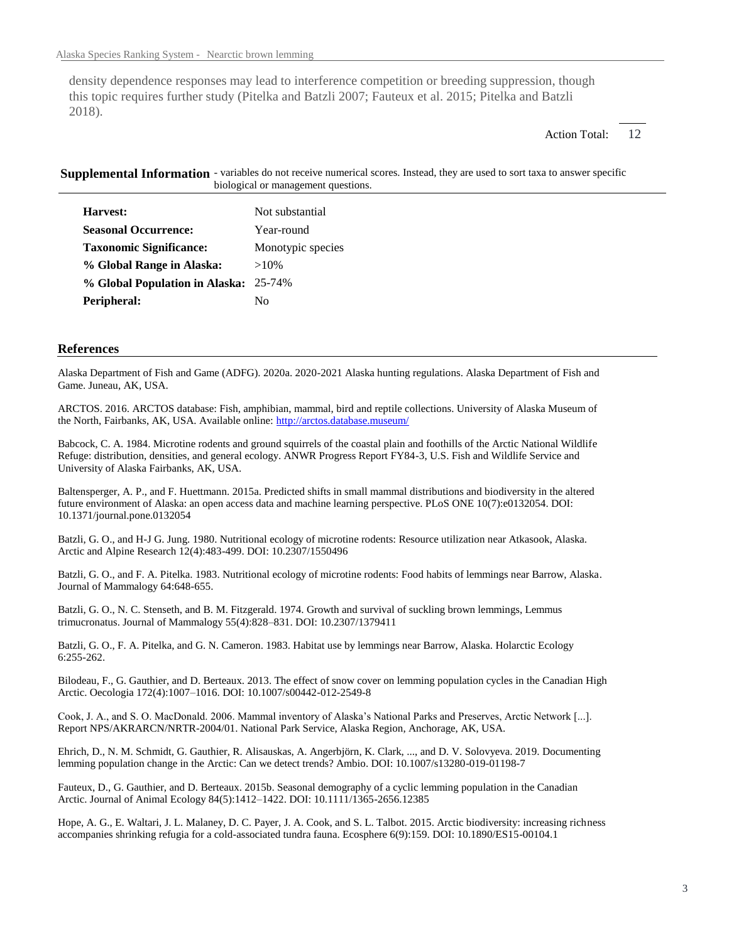density dependence responses may lead to interference competition or breeding suppression, though this topic requires further study (Pitelka and Batzli 2007; Fauteux et al. 2015; Pitelka and Batzli 2018).

> 12 Action Total:

Supplemental Information - variables do not receive numerical scores. Instead, they are used to sort taxa to answer specific biological or management questions.

| Harvest:                              | Not substantial   |
|---------------------------------------|-------------------|
| <b>Seasonal Occurrence:</b>           | Year-round        |
| <b>Taxonomic Significance:</b>        | Monotypic species |
| % Global Range in Alaska:             | $>10\%$           |
| % Global Population in Alaska: 25-74% |                   |
| Peripheral:                           | Nο                |

## **References**

Alaska Department of Fish and Game (ADFG). 2020a. 2020-2021 Alaska hunting regulations. Alaska Department of Fish and Game. Juneau, AK, USA.

ARCTOS. 2016. ARCTOS database: Fish, amphibian, mammal, bird and reptile collections. University of Alaska Museum of the North, Fairbanks, AK, USA. Available online: http://arctos.database.museum/

Babcock, C. A. 1984. Microtine rodents and ground squirrels of the coastal plain and foothills of the Arctic National Wildlife Refuge: distribution, densities, and general ecology. ANWR Progress Report FY84-3, U.S. Fish and Wildlife Service and University of Alaska Fairbanks, AK, USA.

Baltensperger, A. P., and F. Huettmann. 2015a. Predicted shifts in small mammal distributions and biodiversity in the altered future environment of Alaska: an open access data and machine learning perspective. PLoS ONE 10(7):e0132054. DOI: 10.1371/journal.pone.0132054

Batzli, G. O., and H-J G. Jung. 1980. Nutritional ecology of microtine rodents: Resource utilization near Atkasook, Alaska. Arctic and Alpine Research 12(4):483-499. DOI: 10.2307/1550496

Batzli, G. O., and F. A. Pitelka. 1983. Nutritional ecology of microtine rodents: Food habits of lemmings near Barrow, Alaska. Journal of Mammalogy 64:648-655.

Batzli, G. O., N. C. Stenseth, and B. M. Fitzgerald. 1974. Growth and survival of suckling brown lemmings, Lemmus trimucronatus. Journal of Mammalogy 55(4):828–831. DOI: 10.2307/1379411

Batzli, G. O., F. A. Pitelka, and G. N. Cameron. 1983. Habitat use by lemmings near Barrow, Alaska. Holarctic Ecology 6:255-262.

Bilodeau, F., G. Gauthier, and D. Berteaux. 2013. The effect of snow cover on lemming population cycles in the Canadian High Arctic. Oecologia 172(4):1007–1016. DOI: 10.1007/s00442-012-2549-8

Cook, J. A., and S. O. MacDonald. 2006. Mammal inventory of Alaska's National Parks and Preserves, Arctic Network [...]. Report NPS/AKRARCN/NRTR-2004/01. National Park Service, Alaska Region, Anchorage, AK, USA.

Ehrich, D., N. M. Schmidt, G. Gauthier, R. Alisauskas, A. Angerbjörn, K. Clark, ..., and D. V. Solovyeva. 2019. Documenting lemming population change in the Arctic: Can we detect trends? Ambio. DOI: 10.1007/s13280-019-01198-7

Fauteux, D., G. Gauthier, and D. Berteaux. 2015b. Seasonal demography of a cyclic lemming population in the Canadian Arctic. Journal of Animal Ecology 84(5):1412–1422. DOI: 10.1111/1365-2656.12385

Hope, A. G., E. Waltari, J. L. Malaney, D. C. Payer, J. A. Cook, and S. L. Talbot. 2015. Arctic biodiversity: increasing richness accompanies shrinking refugia for a cold-associated tundra fauna. Ecosphere 6(9):159. DOI: 10.1890/ES15-00104.1